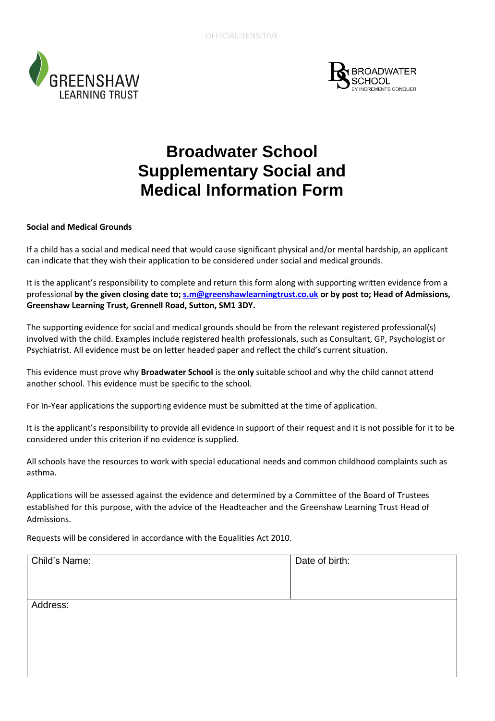



## **Broadwater School Supplementary Social and Medical Information Form**

## **Social and Medical Grounds**

If a child has a social and medical need that would cause significant physical and/or mental hardship, an applicant can indicate that they wish their application to be considered under social and medical grounds.

It is the applicant's responsibility to complete and return this form along with supporting written evidence from a professional **by the given closing date to; [s.m@greenshawlearningtrust.co.uk](mailto:s.m@greenshawlearningtrust.co.uk) or by post to; Head of Admissions, Greenshaw Learning Trust, Grennell Road, Sutton, SM1 3DY.**

The supporting evidence for social and medical grounds should be from the relevant registered professional(s) involved with the child. Examples include registered health professionals, such as Consultant, GP, Psychologist or Psychiatrist. All evidence must be on letter headed paper and reflect the child's current situation.

This evidence must prove why **Broadwater School** is the **only** suitable school and why the child cannot attend another school. This evidence must be specific to the school.

For In-Year applications the supporting evidence must be submitted at the time of application.

It is the applicant's responsibility to provide all evidence in support of their request and it is not possible for it to be considered under this criterion if no evidence is supplied.

All schools have the resources to work with special educational needs and common childhood complaints such as asthma.

Applications will be assessed against the evidence and determined by a Committee of the Board of Trustees established for this purpose, with the advice of the Headteacher and the Greenshaw Learning Trust Head of Admissions.

Requests will be considered in accordance with the Equalities Act 2010.

| Child's Name: | Date of birth: |
|---------------|----------------|
|               |                |
| Address:      |                |
|               |                |
|               |                |
|               |                |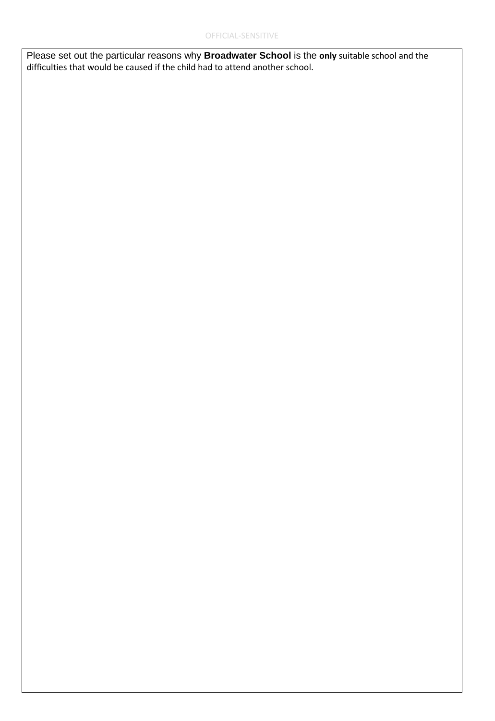Please set out the particular reasons why **Broadwater School** is the **only** suitable school and the difficulties that would be caused if the child had to attend another school.